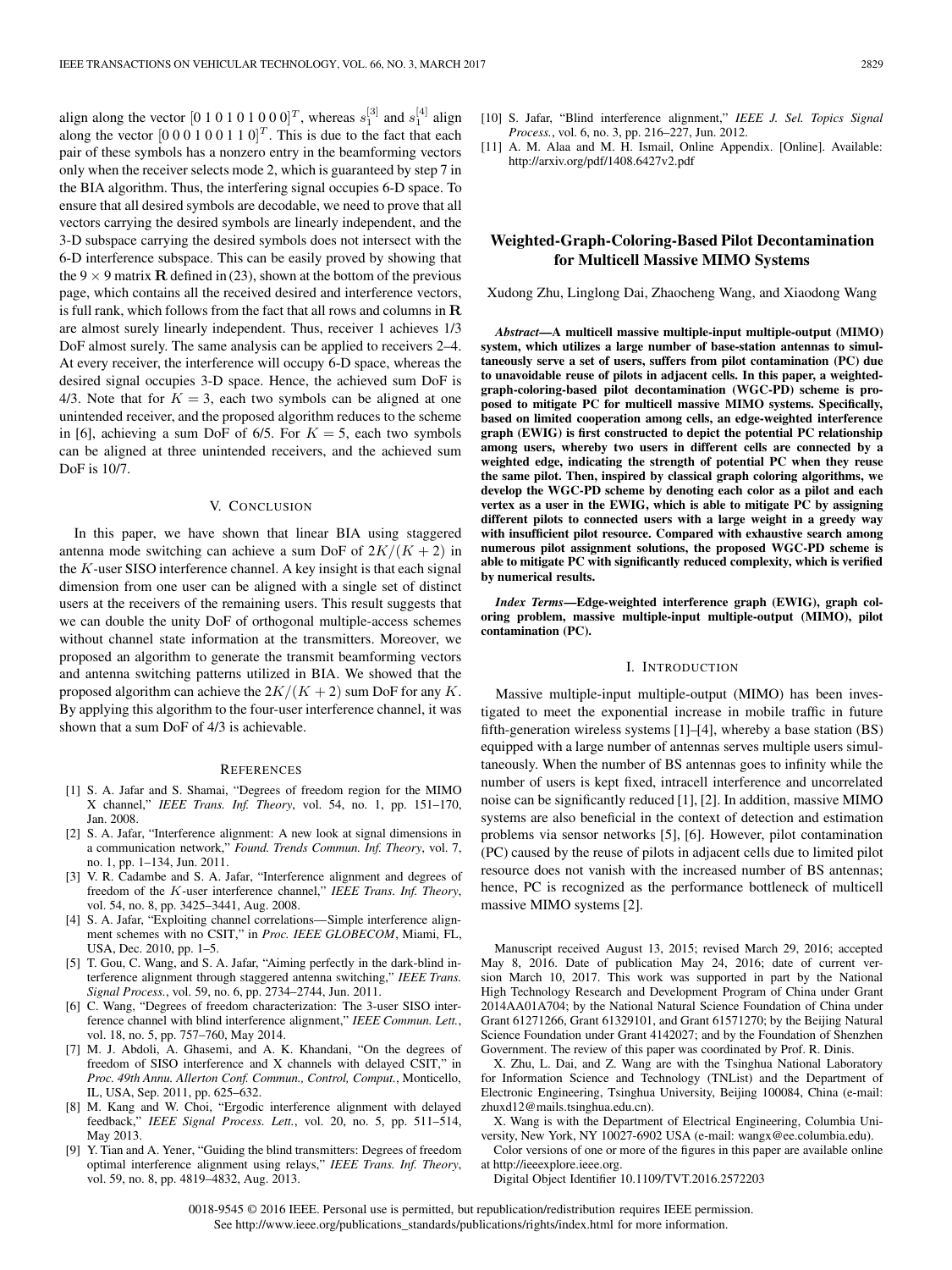align along the vector  $[0 1 0 1 0 1 0 0 0]^T$ , whereas  $s_1^{[3]}$  and  $s_1^{[4]}$  align along the vector  $[0\ 0\ 0\ 1\ 0\ 0\ 1\ 1\ 0]^T$ . This is due to the fact that each pair of these symbols has a nonzero entry in the beamforming vectors only when the receiver selects mode 2, which is guaranteed by step 7 in the BIA algorithm. Thus, the interfering signal occupies 6-D space. To ensure that all desired symbols are decodable, we need to prove that all vectors carrying the desired symbols are linearly independent, and the 3-D subspace carrying the desired symbols does not intersect with the 6-D interference subspace. This can be easily proved by showing that the 9  $\times$  9 matrix **R** defined in (23), shown at the bottom of the previous page, which contains all the received desired and interference vectors, is full rank, which follows from the fact that all rows and columns in **R** are almost surely linearly independent. Thus, receiver 1 achieves 1/3 DoF almost surely. The same analysis can be applied to receivers 2–4. At every receiver, the interference will occupy 6-D space, whereas the desired signal occupies 3-D space. Hence, the achieved sum DoF is 4/3. Note that for  $K = 3$ , each two symbols can be aligned at one unintended receiver, and the proposed algorithm reduces to the scheme in [6], achieving a sum DoF of 6/5. For  $K = 5$ , each two symbols can be aligned at three unintended receivers, and the achieved sum DoF is 10/7.

### V. CONCLUSION

In this paper, we have shown that linear BIA using staggered antenna mode switching can achieve a sum DoF of  $2K/(K+2)$  in the  $K$ -user SISO interference channel. A key insight is that each signal dimension from one user can be aligned with a single set of distinct users at the receivers of the remaining users. This result suggests that we can double the unity DoF of orthogonal multiple-access schemes without channel state information at the transmitters. Moreover, we proposed an algorithm to generate the transmit beamforming vectors and antenna switching patterns utilized in BIA. We showed that the proposed algorithm can achieve the  $2K/(K+2)$  sum DoF for any K. By applying this algorithm to the four-user interference channel, it was shown that a sum DoF of 4/3 is achievable.

## **REFERENCES**

- [1] S. A. Jafar and S. Shamai, "Degrees of freedom region for the MIMO X channel," *IEEE Trans. Inf. Theory*, vol. 54, no. 1, pp. 151–170, Jan. 2008.
- [2] S. A. Jafar, "Interference alignment: A new look at signal dimensions in a communication network," *Found. Trends Commun. Inf. Theory*, vol. 7, no. 1, pp. 1–134, Jun. 2011.
- [3] V. R. Cadambe and S. A. Jafar, "Interference alignment and degrees of freedom of the K-user interference channel," *IEEE Trans. Inf. Theory*, vol. 54, no. 8, pp. 3425–3441, Aug. 2008.
- [4] S. A. Jafar, "Exploiting channel correlations—Simple interference alignment schemes with no CSIT," in *Proc. IEEE GLOBECOM*, Miami, FL, USA, Dec. 2010, pp. 1–5.
- [5] T. Gou, C. Wang, and S. A. Jafar, "Aiming perfectly in the dark-blind interference alignment through staggered antenna switching," *IEEE Trans. Signal Process.*, vol. 59, no. 6, pp. 2734–2744, Jun. 2011.
- [6] C. Wang, "Degrees of freedom characterization: The 3-user SISO interference channel with blind interference alignment," *IEEE Commun. Lett.*, vol. 18, no. 5, pp. 757–760, May 2014.
- [7] M. J. Abdoli, A. Ghasemi, and A. K. Khandani, "On the degrees of freedom of SISO interference and X channels with delayed CSIT," in *Proc. 49th Annu. Allerton Conf. Commun., Control, Comput.*, Monticello, IL, USA, Sep. 2011, pp. 625–632.
- [8] M. Kang and W. Choi, "Ergodic interference alignment with delayed feedback," *IEEE Signal Process. Lett.*, vol. 20, no. 5, pp. 511–514, May 2013.
- [9] Y. Tian and A. Yener, "Guiding the blind transmitters: Degrees of freedom optimal interference alignment using relays," *IEEE Trans. Inf. Theory*, vol. 59, no. 8, pp. 4819–4832, Aug. 2013.

[11] A. M. Alaa and M. H. Ismail, Online Appendix. [Online]. Available: http://arxiv.org/pdf/1408.6427v2.pdf

## **Weighted-Graph-Coloring-Based Pilot Decontamination for Multicell Massive MIMO Systems**

Xudong Zhu, Linglong Dai, Zhaocheng Wang, and Xiaodong Wang

*Abstract***—A multicell massive multiple-input multiple-output (MIMO) system, which utilizes a large number of base-station antennas to simultaneously serve a set of users, suffers from pilot contamination (PC) due to unavoidable reuse of pilots in adjacent cells. In this paper, a weightedgraph-coloring-based pilot decontamination (WGC-PD) scheme is proposed to mitigate PC for multicell massive MIMO systems. Specifically, based on limited cooperation among cells, an edge-weighted interference graph (EWIG) is first constructed to depict the potential PC relationship among users, whereby two users in different cells are connected by a weighted edge, indicating the strength of potential PC when they reuse the same pilot. Then, inspired by classical graph coloring algorithms, we develop the WGC-PD scheme by denoting each color as a pilot and each vertex as a user in the EWIG, which is able to mitigate PC by assigning different pilots to connected users with a large weight in a greedy way with insufficient pilot resource. Compared with exhaustive search among numerous pilot assignment solutions, the proposed WGC-PD scheme is able to mitigate PC with significantly reduced complexity, which is verified by numerical results.**

*Index Terms***—Edge-weighted interference graph (EWIG), graph coloring problem, massive multiple-input multiple-output (MIMO), pilot contamination (PC).**

### I. INTRODUCTION

Massive multiple-input multiple-output (MIMO) has been investigated to meet the exponential increase in mobile traffic in future fifth-generation wireless systems [1]–[4], whereby a base station (BS) equipped with a large number of antennas serves multiple users simultaneously. When the number of BS antennas goes to infinity while the number of users is kept fixed, intracell interference and uncorrelated noise can be significantly reduced [1], [2]. In addition, massive MIMO systems are also beneficial in the context of detection and estimation problems via sensor networks [5], [6]. However, pilot contamination (PC) caused by the reuse of pilots in adjacent cells due to limited pilot resource does not vanish with the increased number of BS antennas; hence, PC is recognized as the performance bottleneck of multicell massive MIMO systems [2].

Manuscript received August 13, 2015; revised March 29, 2016; accepted May 8, 2016. Date of publication May 24, 2016; date of current version March 10, 2017. This work was supported in part by the National High Technology Research and Development Program of China under Grant 2014AA01A704; by the National Natural Science Foundation of China under Grant 61271266, Grant 61329101, and Grant 61571270; by the Beijing Natural Science Foundation under Grant 4142027; and by the Foundation of Shenzhen Government. The review of this paper was coordinated by Prof. R. Dinis.

X. Zhu, L. Dai, and Z. Wang are with the Tsinghua National Laboratory for Information Science and Technology (TNList) and the Department of Electronic Engineering, Tsinghua University, Beijing 100084, China (e-mail: zhuxd12@mails.tsinghua.edu.cn).

X. Wang is with the Department of Electrical Engineering, Columbia University, New York, NY 10027-6902 USA (e-mail: wangx@ee.columbia.edu).

Color versions of one or more of the figures in this paper are available online at http://ieeexplore.ieee.org.

Digital Object Identifier 10.1109/TVT.2016.2572203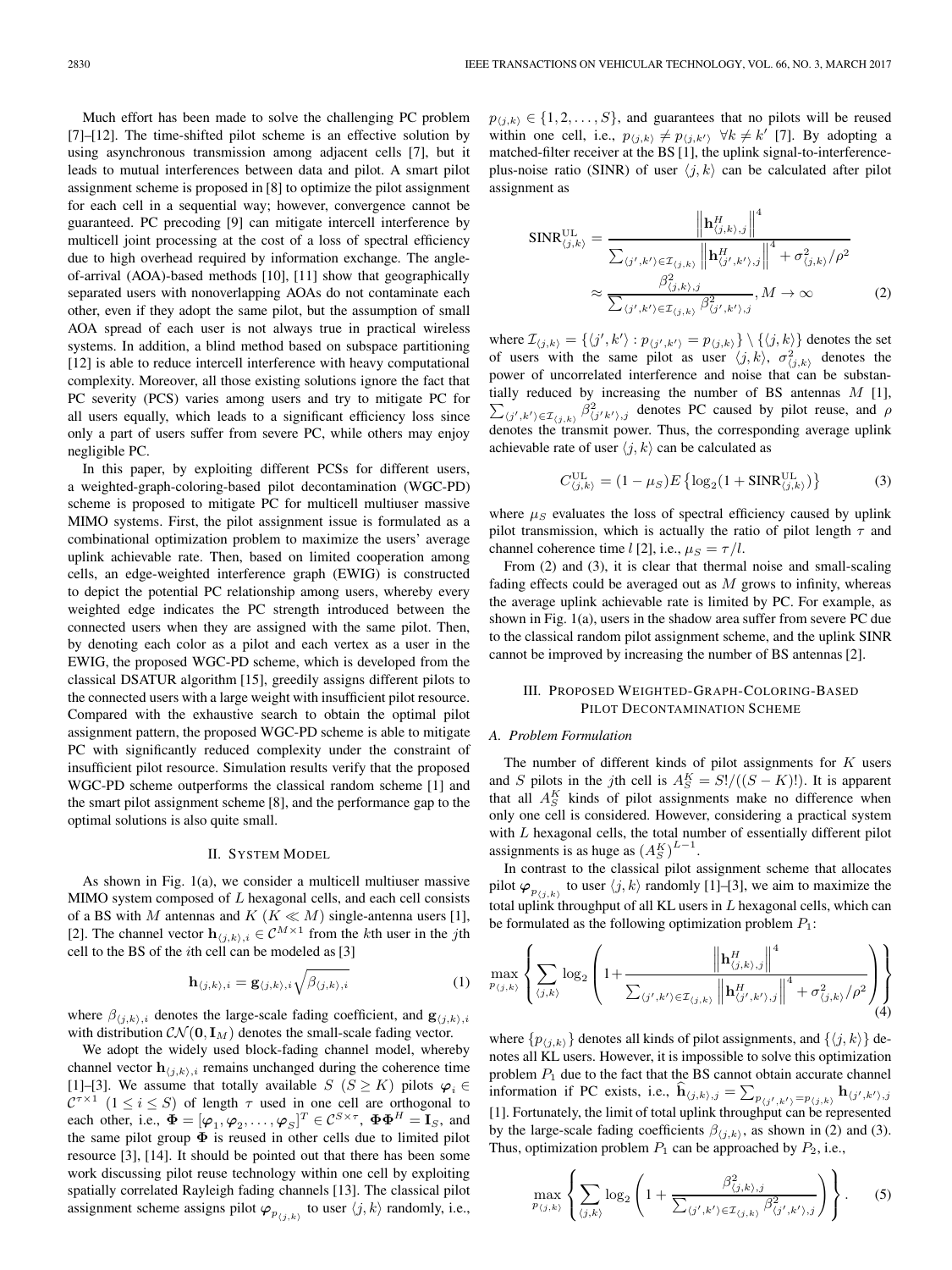Much effort has been made to solve the challenging PC problem [7]–[12]. The time-shifted pilot scheme is an effective solution by using asynchronous transmission among adjacent cells [7], but it leads to mutual interferences between data and pilot. A smart pilot assignment scheme is proposed in [8] to optimize the pilot assignment for each cell in a sequential way; however, convergence cannot be guaranteed. PC precoding [9] can mitigate intercell interference by multicell joint processing at the cost of a loss of spectral efficiency due to high overhead required by information exchange. The angleof-arrival (AOA)-based methods [10], [11] show that geographically separated users with nonoverlapping AOAs do not contaminate each other, even if they adopt the same pilot, but the assumption of small AOA spread of each user is not always true in practical wireless systems. In addition, a blind method based on subspace partitioning [12] is able to reduce intercell interference with heavy computational complexity. Moreover, all those existing solutions ignore the fact that PC severity (PCS) varies among users and try to mitigate PC for all users equally, which leads to a significant efficiency loss since only a part of users suffer from severe PC, while others may enjoy negligible PC.

In this paper, by exploiting different PCSs for different users, a weighted-graph-coloring-based pilot decontamination (WGC-PD) scheme is proposed to mitigate PC for multicell multiuser massive MIMO systems. First, the pilot assignment issue is formulated as a combinational optimization problem to maximize the users' average uplink achievable rate. Then, based on limited cooperation among cells, an edge-weighted interference graph (EWIG) is constructed to depict the potential PC relationship among users, whereby every weighted edge indicates the PC strength introduced between the connected users when they are assigned with the same pilot. Then, by denoting each color as a pilot and each vertex as a user in the EWIG, the proposed WGC-PD scheme, which is developed from the classical DSATUR algorithm [15], greedily assigns different pilots to the connected users with a large weight with insufficient pilot resource. Compared with the exhaustive search to obtain the optimal pilot assignment pattern, the proposed WGC-PD scheme is able to mitigate PC with significantly reduced complexity under the constraint of insufficient pilot resource. Simulation results verify that the proposed WGC-PD scheme outperforms the classical random scheme [1] and the smart pilot assignment scheme [8], and the performance gap to the optimal solutions is also quite small.

### II. SYSTEM MODEL

As shown in Fig. 1(a), we consider a multicell multiuser massive MIMO system composed of  $L$  hexagonal cells, and each cell consists of a BS with M antennas and  $K$  ( $K \ll M$ ) single-antenna users [1], [2]. The channel vector  $\mathbf{h}_{(j,k),i} \in \mathcal{C}^{M \times 1}$  from the kth user in the jth cell to the BS of the ith cell can be modeled as [3]

$$
\mathbf{h}_{\langle j,k\rangle,i} = \mathbf{g}_{\langle j,k\rangle,i} \sqrt{\beta_{\langle j,k\rangle,i}} \tag{1}
$$

where  $\beta_{(j,k),i}$  denotes the large-scale fading coefficient, and  $\mathbf{g}_{(j,k),i}$ with distribution  $\mathcal{CN}(\mathbf{0}, \mathbf{I}_M)$  denotes the small-scale fading vector.

We adopt the widely used block-fading channel model, whereby channel vector  $\mathbf{h}_{(j,k),i}$  remains unchanged during the coherence time [1]–[3]. We assume that totally available  $S$  ( $S \geq K$ ) pilots  $\varphi_i \in$  $\mathcal{C}^{\tau \times 1}$   $(1 \leq i \leq S)$  of length  $\tau$  used in one cell are orthogonal to each other, i.e.,  $\mathbf{\Phi} = [\varphi_1, \varphi_2, \dots, \varphi_S]^T \in \mathcal{C}^{S \times \tau}$ ,  $\mathbf{\Phi} \mathbf{\Phi}^H = \mathbf{I}_S$ , and the same pilot group  $\Phi$  is reused in other cells due to limited pilot resource [3], [14]. It should be pointed out that there has been some work discussing pilot reuse technology within one cell by exploiting spatially correlated Rayleigh fading channels [13]. The classical pilot assignment scheme assigns pilot  $\varphi_{p_{(j,k)}}$  to user  $\langle j,k \rangle$  randomly, i.e.,

 $p_{\langle j,k \rangle} \in \{1, 2, \ldots, S\}$ , and guarantees that no pilots will be reused within one cell, i.e.,  $p_{\langle j,k \rangle} \neq p_{\langle j,k' \rangle} \ \forall k \neq k'$  [7]. By adopting a matched-filter receiver at the BS [1], the uplink signal-to-interferenceplus-noise ratio (SINR) of user  $\langle j, k \rangle$  can be calculated after pilot assignment as

$$
SINR_{\langle j,k \rangle}^{\text{UL}} = \frac{\left\| \mathbf{h}_{\langle j,k \rangle,j}^H \right\|^4}{\sum_{\langle j',k' \rangle \in \mathcal{I}_{\langle j,k \rangle}} \left\| \mathbf{h}_{\langle j',k' \rangle,j}^H \right\|^4 + \sigma_{\langle j,k \rangle}^2 / \rho^2}
$$

$$
\approx \frac{\beta_{\langle j,k \rangle,j}^2}{\sum_{\langle j',k' \rangle \in \mathcal{I}_{\langle j,k \rangle}} \beta_{\langle j',k' \rangle,j}^2}, M \to \infty
$$
(2)

where  $\mathcal{I}_{\langle j,k \rangle} = \{ \langle j',k' \rangle : p_{\langle j',k' \rangle} = p_{\langle j,k \rangle} \} \setminus \{ \langle j,k \rangle \}$  denotes the set of users with the same pilot as user  $\langle j, k \rangle$ ,  $\sigma_{\langle j, k \rangle}^2$  denotes the power of uncorrelated interference and noise that can be substantially reduced by increasing the number of BS antennas  $M$  [1],  $\sum_{(j',k')\in\mathcal{I}_{(j,k)}}$   $\beta_{(j'k'),j}^2$  denotes PC caused by pilot reuse, and  $\rho$ denotes the transmit power. Thus, the corresponding average uplink achievable rate of user  $\langle j, k \rangle$  can be calculated as

$$
C_{\langle j,k\rangle}^{\text{UL}} = (1 - \mu_S)E\left\{ \log_2(1 + \text{SINR}_{\langle j,k\rangle}^{\text{UL}}) \right\}
$$
 (3)

where  $\mu<sub>S</sub>$  evaluates the loss of spectral efficiency caused by uplink pilot transmission, which is actually the ratio of pilot length  $\tau$  and channel coherence time l [2], i.e.,  $\mu_S = \tau / l$ .

From (2) and (3), it is clear that thermal noise and small-scaling fading effects could be averaged out as  $M$  grows to infinity, whereas the average uplink achievable rate is limited by PC. For example, as shown in Fig. 1(a), users in the shadow area suffer from severe PC due to the classical random pilot assignment scheme, and the uplink SINR cannot be improved by increasing the number of BS antennas [2].

## III. PROPOSED WEIGHTED-GRAPH-COLORING-BASED PILOT DECONTAMINATION SCHEME

## *A. Problem Formulation*

The number of different kinds of pilot assignments for  $K$  users and S pilots in the jth cell is  $A_S^K = S!/((S - K)!)$ . It is apparent that all  $A_S^K$  kinds of pilot assignments make no difference when only one cell is considered. However, considering a practical system with L hexagonal cells, the total number of essentially different pilot assignments is as huge as  $(A_S^K)^{L-1}$ .

In contrast to the classical pilot assignment scheme that allocates pilot  $\varphi_{p_{(j,k)}}$  to user  $\langle j,k \rangle$  randomly [1]–[3], we aim to maximize the total uplink throughput of all KL users in  $L$  hexagonal cells, which can be formulated as the following optimization problem  $P_1$ :

$$
\max_{p_{(j,k)}} \left\{ \sum_{\langle j,k \rangle} \log_2 \left( 1 + \frac{\left\| \mathbf{h}_{(j,k),j}^H \right\|^4}{\sum_{\langle j',k' \rangle \in \mathcal{I}_{(j,k)}} \left\| \mathbf{h}_{\langle j',k' \rangle,j}^H \right\|^4 + \sigma_{\langle j,k \rangle}^2 / \rho^2} \right) \right\}
$$
(4)

where  $\{p_{\langle j,k \rangle}\}\$  denotes all kinds of pilot assignments, and  $\{\langle j,k \rangle\}\$  denotes all KL users. However, it is impossible to solve this optimization problem  $P_1$  due to the fact that the BS cannot obtain accurate channel information if PC exists, i.e.,  $\mathbf{h}_{\langle j,k \rangle,j} = \sum_{p_{\langle j',k'\rangle} = p_{\langle j,k\rangle}} \mathbf{h}_{\langle j',k'\rangle,j}$ [1]. Fortunately, the limit of total uplink throughput can be represented by the large-scale fading coefficients  $\beta_{(j,k)}$ , as shown in (2) and (3). Thus, optimization problem  $P_1$  can be approached by  $P_2$ , i.e.,

$$
\max_{p_{(j,k)}} \left\{ \sum_{(j,k)} \log_2 \left( 1 + \frac{\beta_{(j,k),j}^2}{\sum_{(j',k') \in \mathcal{I}_{(j,k)}} \beta_{(j',k'),j}^2} \right) \right\}.
$$
 (5)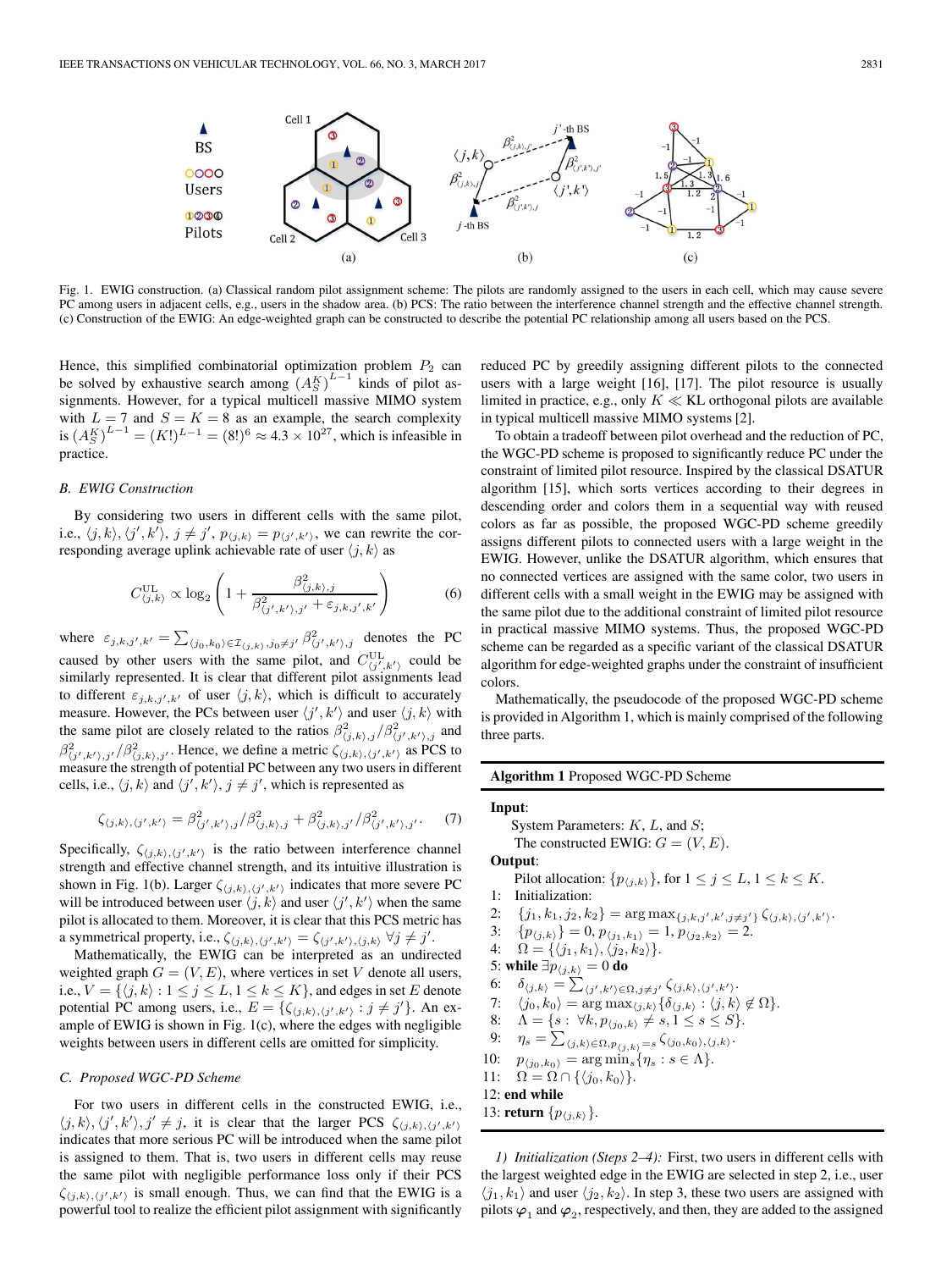

Fig. 1. EWIG construction. (a) Classical random pilot assignment scheme: The pilots are randomly assigned to the users in each cell, which may cause severe PC among users in adjacent cells, e.g., users in the shadow area. (b) PCS: The ratio between the interference channel strength and the effective channel strength. (c) Construction of the EWIG: An edge-weighted graph can be constructed to describe the potential PC relationship among all users based on the PCS.

Hence, this simplified combinatorial optimization problem  $P_2$  can be solved by exhaustive search among  $(A_S^K)^{L-1}$  kinds of pilot assignments. However, for a typical multicell massive MIMO system with  $L = 7$  and  $S = K = 8$  as an example, the search complexity is  $(A_S^K)^{L-1} = (K!)^{L-1} = (8!)^6 \approx 4.3 \times 10^{27}$ , which is infeasible in practice.

## *B. EWIG Construction*

By considering two users in different cells with the same pilot, i.e.,  $\langle j, k \rangle$ ,  $\langle j', k' \rangle$ ,  $j \neq j'$ ,  $p_{\langle j,k \rangle} = p_{\langle j',k' \rangle}$ , we can rewrite the corresponding average uplink achievable rate of user  $\langle j, k \rangle$  as

$$
C_{\langle j,k\rangle}^{\text{UL}} \propto \log_2\left(1 + \frac{\beta_{\langle j,k\rangle,j}^2}{\beta_{\langle j',k'\rangle,j'}^2 + \varepsilon_{j,k,j',k'}}\right) \tag{6}
$$

where  $\varepsilon_{j,k,j',k'} = \sum_{\langle j_0,k_0\rangle \in \mathcal{I}_{\langle j,k\rangle},j_0\neq j'} \beta_{\langle j',k'\rangle,j}^2$  denotes the PC caused by other users with the same pilot, and  $C_{\langle j',k' \rangle}^{\text{UL}}$  could be similarly represented. It is clear that different pilot assignments lead to different  $\varepsilon_{j,k,j',k'}$  of user  $\langle j, k \rangle$ , which is difficult to accurately measure. However, the PCs between user  $\langle j', k' \rangle$  and user  $\langle j, k \rangle$  with the same pilot are closely related to the ratios  $\beta_{\langle j,k \rangle,j}^2/\beta_{\langle j',k' \rangle,j}^2$  and  $\beta^2_{(j',k'),j'}/\beta^2_{(j,k),j'}$ . Hence, we define a metric  $\zeta_{(j,k),(j',k')}$  as PCS to measure the strength of potential PC between any two users in different cells, i.e.,  $\langle j, k \rangle$  and  $\langle j', k' \rangle$ ,  $j \neq j'$ , which is represented as

$$
\zeta_{(j,k),(j',k')} = \beta_{(j',k'),j}^2 / \beta_{(j,k),j}^2 + \beta_{(j,k),j'}^2 / \beta_{(j',k'),j'}^2.
$$
 (7)

Specifically,  $\zeta_{\langle j,k \rangle, \langle j',k' \rangle}$  is the ratio between interference channel strength and effective channel strength, and its intuitive illustration is shown in Fig. 1(b). Larger  $\zeta_{\langle j,k \rangle, \langle j',k' \rangle}$  indicates that more severe PC will be introduced between user  $\langle j, k \rangle$  and user  $\langle j', k' \rangle$  when the same pilot is allocated to them. Moreover, it is clear that this PCS metric has a symmetrical property, i.e.,  $\zeta_{(j,k), (j',k')} = \zeta_{(j',k'), (j,k)} \; \forall j \neq j'.$ 

Mathematically, the EWIG can be interpreted as an undirected weighted graph  $G = (V, E)$ , where vertices in set V denote all users, i.e.,  $V = \{ \langle j, k \rangle : 1 \leq j \leq L, 1 \leq k \leq K \}$ , and edges in set E denote potential PC among users, i.e.,  $E = \{\zeta_{\langle j,k \rangle, \langle j',k' \rangle} : j \neq j'\}.$  An example of EWIG is shown in Fig. 1(c), where the edges with negligible weights between users in different cells are omitted for simplicity.

## *C. Proposed WGC-PD Scheme*

For two users in different cells in the constructed EWIG, i.e.,  $\langle j, k \rangle, \langle j', k' \rangle, j' \neq j$ , it is clear that the larger PCS  $\zeta_{\langle j,k \rangle, \langle j',k' \rangle}$ indicates that more serious PC will be introduced when the same pilot is assigned to them. That is, two users in different cells may reuse the same pilot with negligible performance loss only if their PCS  $\zeta_{\langle j,k \rangle, \langle j',k' \rangle}$  is small enough. Thus, we can find that the EWIG is a powerful tool to realize the efficient pilot assignment with significantly

reduced PC by greedily assigning different pilots to the connected users with a large weight [16], [17]. The pilot resource is usually limited in practice, e.g., only  $K \ll KL$  orthogonal pilots are available in typical multicell massive MIMO systems [2].

To obtain a tradeoff between pilot overhead and the reduction of PC, the WGC-PD scheme is proposed to significantly reduce PC under the constraint of limited pilot resource. Inspired by the classical DSATUR algorithm [15], which sorts vertices according to their degrees in descending order and colors them in a sequential way with reused colors as far as possible, the proposed WGC-PD scheme greedily assigns different pilots to connected users with a large weight in the EWIG. However, unlike the DSATUR algorithm, which ensures that no connected vertices are assigned with the same color, two users in different cells with a small weight in the EWIG may be assigned with the same pilot due to the additional constraint of limited pilot resource in practical massive MIMO systems. Thus, the proposed WGC-PD scheme can be regarded as a specific variant of the classical DSATUR algorithm for edge-weighted graphs under the constraint of insufficient colors.

Mathematically, the pseudocode of the proposed WGC-PD scheme is provided in Algorithm 1, which is mainly comprised of the following three parts.

#### **Algorithm 1** Proposed WGC-PD Scheme

# **Input**: System Parameters: K, L, and S; The constructed EWIG:  $G = (V, E)$ . **Output**: Pilot allocation:  $\{p_{\langle j,k \rangle}\}$ , for  $1 \leq j \leq L$ ,  $1 \leq k \leq K$ . 1: Initialization: 2:  $\{j_1, k_1, j_2, k_2\} = \arg \max_{\{j, k, j', k', j \neq j'\}} \zeta_{\langle j, k \rangle, \langle j', k'\rangle}.$ 3:  $\{p_{\langle j,k \rangle}\} = 0, p_{\langle j_1,k_1 \rangle} = 1, p_{\langle j_2,k_2 \rangle} = 2.$ 4:  $\Omega = \{ \langle j_1, k_1 \rangle, \langle j_2, k_2 \rangle \}.$ 5: while  $\exists p_{\langle j,k \rangle} = 0$  do 6:  $\delta_{\langle j,k \rangle} = \sum_{\langle j',k' \rangle \in \Omega, j \neq j'} \zeta_{\langle j,k \rangle, \langle j',k' \rangle}.$ 7:  $\langle j_0, k_0 \rangle = \arg \max_{\langle j,k \rangle} {\{\delta_{\langle j,k \rangle} : \langle j,k \rangle \notin \Omega\}}.$ 8:  $\Lambda = \{s : \forall k, p_{\langle j_0,k \rangle} \neq s, 1 \leq s \leq S\}.$ 9:  $\eta_s = \sum_{\langle j,k \rangle \in \Omega, p_{\langle j,k \rangle} = s} \zeta_{\langle j_0, k_0 \rangle, \langle j,k \rangle}.$ 10:  $p_{\langle j_0, k_0 \rangle} = \arg \min_s \{ \eta_s : s \in \Lambda \}.$ 11:  $\Omega = \Omega \cap \{\langle j_0, k_0 \rangle\}.$ 12: **end while** 13: **return**  $\{p_{\langle j,k \rangle}\}.$

*1) Initialization (Steps 2–4):* First, two users in different cells with the largest weighted edge in the EWIG are selected in step 2, i.e., user  $\langle j_1, k_1 \rangle$  and user  $\langle j_2, k_2 \rangle$ . In step 3, these two users are assigned with pilots  $\varphi_1$  and  $\varphi_2$ , respectively, and then, they are added to the assigned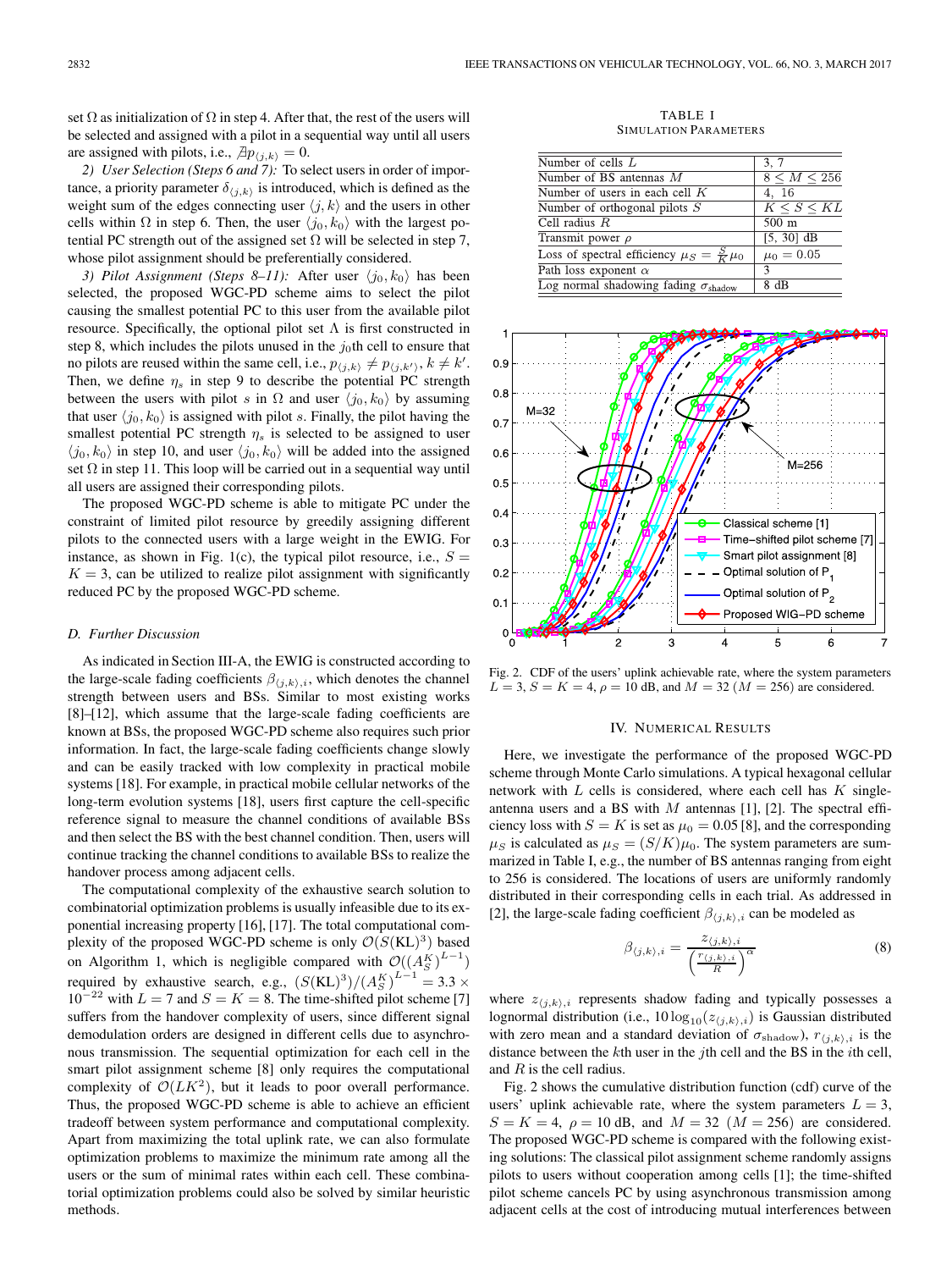set  $\Omega$  as initialization of  $\Omega$  in step 4. After that, the rest of the users will be selected and assigned with a pilot in a sequential way until all users are assigned with pilots, i.e.,  $\exists p_{\langle j,k \rangle} = 0$ .

*2) User Selection (Steps 6 and 7):* To select users in order of importance, a priority parameter  $\delta_{\langle j,k \rangle}$  is introduced, which is defined as the weight sum of the edges connecting user  $\langle j, k \rangle$  and the users in other cells within  $\Omega$  in step 6. Then, the user  $\langle j_0, k_0 \rangle$  with the largest potential PC strength out of the assigned set  $\Omega$  will be selected in step 7, whose pilot assignment should be preferentially considered.

*3) Pilot Assignment (Steps 8–11):* After user  $\langle j_0, k_0 \rangle$  has been selected, the proposed WGC-PD scheme aims to select the pilot causing the smallest potential PC to this user from the available pilot resource. Specifically, the optional pilot set  $\Lambda$  is first constructed in step 8, which includes the pilots unused in the  $j_0$ th cell to ensure that no pilots are reused within the same cell, i.e.,  $p_{(j,k)} \neq p_{(j,k')}, k \neq k'$ . Then, we define  $\eta_s$  in step 9 to describe the potential PC strength between the users with pilot s in  $\Omega$  and user  $\langle j_0, k_0 \rangle$  by assuming that user  $\langle j_0, k_0 \rangle$  is assigned with pilot s. Finally, the pilot having the smallest potential PC strength  $\eta_s$  is selected to be assigned to user  $\langle j_0, k_0 \rangle$  in step 10, and user  $\langle j_0, k_0 \rangle$  will be added into the assigned set  $\Omega$  in step 11. This loop will be carried out in a sequential way until all users are assigned their corresponding pilots.

The proposed WGC-PD scheme is able to mitigate PC under the constraint of limited pilot resource by greedily assigning different pilots to the connected users with a large weight in the EWIG. For instance, as shown in Fig. 1(c), the typical pilot resource, i.e.,  $S =$  $K = 3$ , can be utilized to realize pilot assignment with significantly reduced PC by the proposed WGC-PD scheme.

## *D. Further Discussion*

As indicated in Section III-A, the EWIG is constructed according to the large-scale fading coefficients  $\beta_{(j,k),i}$ , which denotes the channel strength between users and BSs. Similar to most existing works [8]–[12], which assume that the large-scale fading coefficients are known at BSs, the proposed WGC-PD scheme also requires such prior information. In fact, the large-scale fading coefficients change slowly and can be easily tracked with low complexity in practical mobile systems [18]. For example, in practical mobile cellular networks of the long-term evolution systems [18], users first capture the cell-specific reference signal to measure the channel conditions of available BSs and then select the BS with the best channel condition. Then, users will continue tracking the channel conditions to available BSs to realize the handover process among adjacent cells.

The computational complexity of the exhaustive search solution to combinatorial optimization problems is usually infeasible due to its exponential increasing property [16], [17]. The total computational complexity of the proposed WGC-PD scheme is only  $\mathcal{O}(S(KL)^3)$  based on Algorithm 1, which is negligible compared with  $\mathcal{O}((A_S^K)^{L-1})$ required by exhaustive search, e.g.,  $(S(KL)^3)/(A_S^K)^{L-1} = 3.3 \times$  $10^{-22}$  with  $L = 7$  and  $S = K = 8$ . The time-shifted pilot scheme [7] suffers from the handover complexity of users, since different signal demodulation orders are designed in different cells due to asynchronous transmission. The sequential optimization for each cell in the smart pilot assignment scheme [8] only requires the computational complexity of  $\mathcal{O}(LK^2)$ , but it leads to poor overall performance. Thus, the proposed WGC-PD scheme is able to achieve an efficient tradeoff between system performance and computational complexity. Apart from maximizing the total uplink rate, we can also formulate optimization problems to maximize the minimum rate among all the users or the sum of minimal rates within each cell. These combinatorial optimization problems could also be solved by similar heuristic methods.

TABLE I SIMULATION PARAMETERS

| Number of cells $L$                                    | 3, 7                    |
|--------------------------------------------------------|-------------------------|
| Number of BS antennas $M$                              | $8 \le M \le 256$       |
| Number of users in each cell $K$                       | 4, 16                   |
| Number of orthogonal pilots $S$                        | $K \leq S \leq KL$      |
| Cell radius $R$                                        | $500 \text{ m}$         |
| Transmit power $\rho$                                  | [5, 30] $\overline{dB}$ |
| Loss of spectral efficiency $\mu_S = \frac{S}{K}\mu_0$ | $\mu_0 = 0.05$          |
| Path loss exponent $\alpha$                            | 3                       |
| Log normal shadowing fading $\sigma_{\text{shadow}}$   | 8 dB                    |



Fig. 2. CDF of the users' uplink achievable rate, where the system parameters  $L = 3, S = K = 4, \rho = 10$  dB, and  $M = 32$  ( $M = 256$ ) are considered.

### IV. NUMERICAL RESULTS

Here, we investigate the performance of the proposed WGC-PD scheme through Monte Carlo simulations. A typical hexagonal cellular network with  $L$  cells is considered, where each cell has  $K$  singleantenna users and a BS with  $M$  antennas [1], [2]. The spectral efficiency loss with  $S = K$  is set as  $\mu_0 = 0.05$  [8], and the corresponding  $\mu_S$  is calculated as  $\mu_S = (S/K)\mu_0$ . The system parameters are summarized in Table I, e.g., the number of BS antennas ranging from eight to 256 is considered. The locations of users are uniformly randomly distributed in their corresponding cells in each trial. As addressed in [2], the large-scale fading coefficient  $\beta_{\langle j,k \rangle,i}$  can be modeled as

$$
\beta_{\langle j,k\rangle,i} = \frac{z_{\langle j,k\rangle,i}}{\left(\frac{r_{\langle j,k\rangle,i}}{R}\right)^{\alpha}}
$$
\n(8)

where  $z_{\langle j,k \rangle,i}$  represents shadow fading and typically possesses a lognormal distribution (i.e.,  $10\log_{10}(z_{\langle j,k\rangle,i})$  is Gaussian distributed with zero mean and a standard deviation of  $\sigma_{\text{shadow}}$ ,  $r_{\langle j,k \rangle,i}$  is the distance between the  $k$ th user in the jth cell and the BS in the *i*th cell, and R is the cell radius.

Fig. 2 shows the cumulative distribution function (cdf) curve of the users' uplink achievable rate, where the system parameters  $L = 3$ ,  $S = K = 4$ ,  $\rho = 10$  dB, and  $M = 32$  ( $M = 256$ ) are considered. The proposed WGC-PD scheme is compared with the following existing solutions: The classical pilot assignment scheme randomly assigns pilots to users without cooperation among cells [1]; the time-shifted pilot scheme cancels PC by using asynchronous transmission among adjacent cells at the cost of introducing mutual interferences between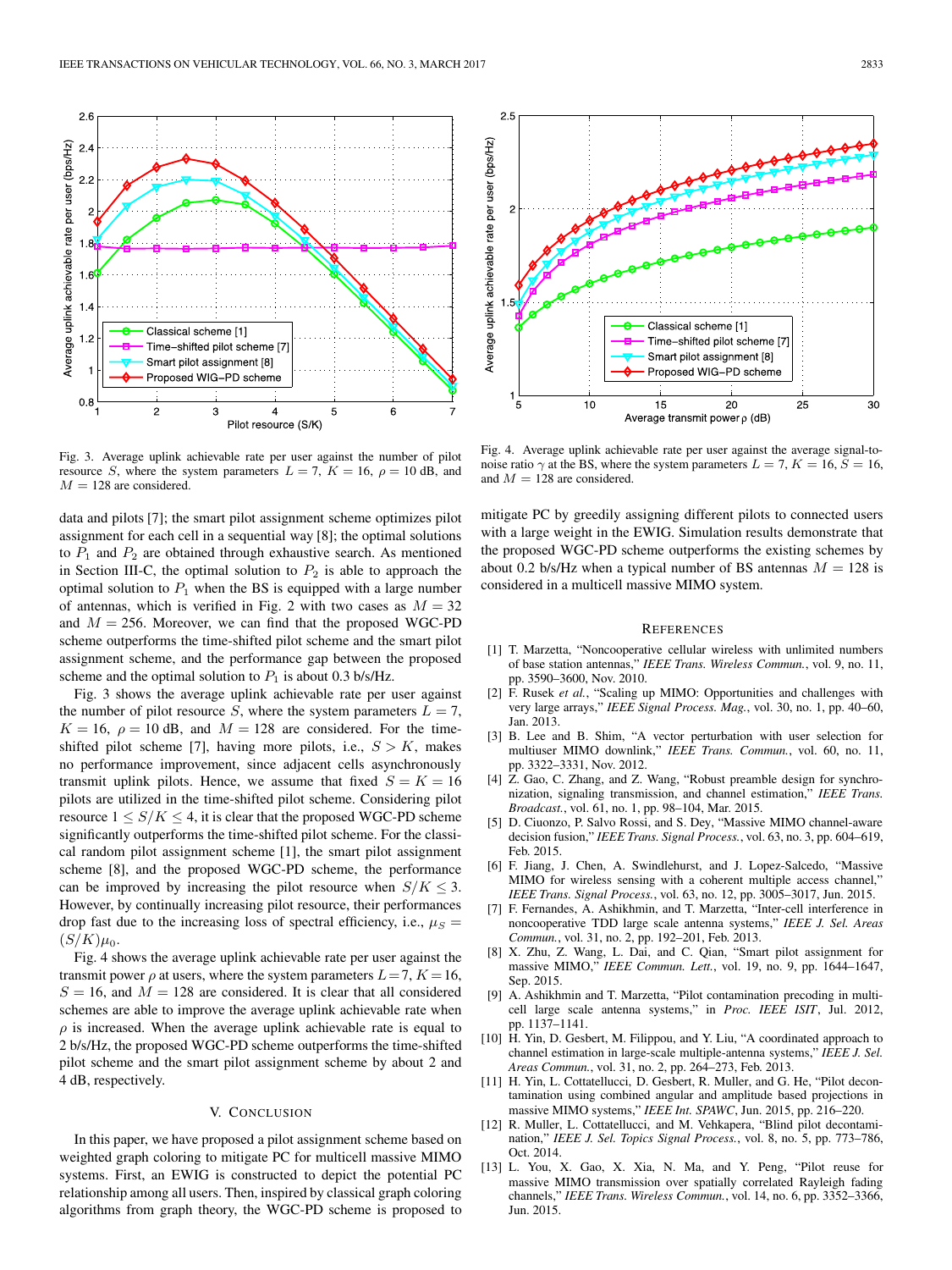

Fig. 3. Average uplink achievable rate per user against the number of pilot resource S, where the system parameters  $L = 7$ ,  $K = 16$ ,  $\rho = 10$  dB, and  $M = 128$  are considered.

data and pilots [7]; the smart pilot assignment scheme optimizes pilot assignment for each cell in a sequential way [8]; the optimal solutions to  $P_1$  and  $P_2$  are obtained through exhaustive search. As mentioned in Section III-C, the optimal solution to  $P_2$  is able to approach the optimal solution to  $P_1$  when the BS is equipped with a large number of antennas, which is verified in Fig. 2 with two cases as  $M = 32$ and  $M = 256$ . Moreover, we can find that the proposed WGC-PD scheme outperforms the time-shifted pilot scheme and the smart pilot assignment scheme, and the performance gap between the proposed scheme and the optimal solution to  $P_1$  is about 0.3 b/s/Hz.

Fig. 3 shows the average uplink achievable rate per user against the number of pilot resource S, where the system parameters  $L = 7$ ,  $K = 16$ ,  $\rho = 10$  dB, and  $M = 128$  are considered. For the timeshifted pilot scheme [7], having more pilots, i.e.,  $S > K$ , makes no performance improvement, since adjacent cells asynchronously transmit uplink pilots. Hence, we assume that fixed  $S = K = 16$ pilots are utilized in the time-shifted pilot scheme. Considering pilot resource  $1 \leq S/K \leq 4$ , it is clear that the proposed WGC-PD scheme significantly outperforms the time-shifted pilot scheme. For the classical random pilot assignment scheme [1], the smart pilot assignment scheme [8], and the proposed WGC-PD scheme, the performance can be improved by increasing the pilot resource when  $S/K \leq 3$ . However, by continually increasing pilot resource, their performances drop fast due to the increasing loss of spectral efficiency, i.e.,  $\mu_S =$  $(S/K)\mu_0$ .

Fig. 4 shows the average uplink achievable rate per user against the transmit power  $\rho$  at users, where the system parameters  $L=7, K=16$ ,  $S = 16$ , and  $M = 128$  are considered. It is clear that all considered schemes are able to improve the average uplink achievable rate when  $\rho$  is increased. When the average uplink achievable rate is equal to 2 b/s/Hz, the proposed WGC-PD scheme outperforms the time-shifted pilot scheme and the smart pilot assignment scheme by about 2 and 4 dB, respectively.

## V. CONCLUSION

In this paper, we have proposed a pilot assignment scheme based on weighted graph coloring to mitigate PC for multicell massive MIMO systems. First, an EWIG is constructed to depict the potential PC relationship among all users. Then, inspired by classical graph coloring algorithms from graph theory, the WGC-PD scheme is proposed to

 $2.5$ Average uplink achievable rate per user (bps/Hz) Classical scheme [1] Time-shifted pilot scheme [7] Smart pilot assignment [8] Proposed WIG-PD scheme  $\overline{5}$  $10$ 25 15 20 30 Average transmit power p (dB)

Fig. 4. Average uplink achievable rate per user against the average signal-tonoise ratio  $\gamma$  at the BS, where the system parameters  $L = 7, K = 16, S = 16$ , and  $M = 128$  are considered.

mitigate PC by greedily assigning different pilots to connected users with a large weight in the EWIG. Simulation results demonstrate that the proposed WGC-PD scheme outperforms the existing schemes by about 0.2 b/s/Hz when a typical number of BS antennas  $M = 128$  is considered in a multicell massive MIMO system.

#### **REFERENCES**

- [1] T. Marzetta, "Noncooperative cellular wireless with unlimited numbers of base station antennas," *IEEE Trans. Wireless Commun.*, vol. 9, no. 11, pp. 3590–3600, Nov. 2010.
- [2] F. Rusek *et al.*, "Scaling up MIMO: Opportunities and challenges with very large arrays," *IEEE Signal Process. Mag.*, vol. 30, no. 1, pp. 40–60, Jan. 2013.
- [3] B. Lee and B. Shim, "A vector perturbation with user selection for multiuser MIMO downlink," *IEEE Trans. Commun.*, vol. 60, no. 11, pp. 3322–3331, Nov. 2012.
- [4] Z. Gao, C. Zhang, and Z. Wang, "Robust preamble design for synchronization, signaling transmission, and channel estimation," *IEEE Trans. Broadcast.*, vol. 61, no. 1, pp. 98–104, Mar. 2015.
- [5] D. Ciuonzo, P. Salvo Rossi, and S. Dey, "Massive MIMO channel-aware decision fusion," *IEEE Trans. Signal Process.*, vol. 63, no. 3, pp. 604–619, Feb. 2015.
- [6] F. Jiang, J. Chen, A. Swindlehurst, and J. Lopez-Salcedo, "Massive MIMO for wireless sensing with a coherent multiple access channel," *IEEE Trans. Signal Process.*, vol. 63, no. 12, pp. 3005–3017, Jun. 2015.
- [7] F. Fernandes, A. Ashikhmin, and T. Marzetta, "Inter-cell interference in noncooperative TDD large scale antenna systems," *IEEE J. Sel. Areas Commun.*, vol. 31, no. 2, pp. 192–201, Feb. 2013.
- [8] X. Zhu, Z. Wang, L. Dai, and C. Qian, "Smart pilot assignment for massive MIMO," *IEEE Commun. Lett.*, vol. 19, no. 9, pp. 1644–1647, Sep. 2015.
- [9] A. Ashikhmin and T. Marzetta, "Pilot contamination precoding in multicell large scale antenna systems," in *Proc. IEEE ISIT*, Jul. 2012, pp. 1137–1141.
- [10] H. Yin, D. Gesbert, M. Filippou, and Y. Liu, "A coordinated approach to channel estimation in large-scale multiple-antenna systems," *IEEE J. Sel. Areas Commun.*, vol. 31, no. 2, pp. 264–273, Feb. 2013.
- [11] H. Yin, L. Cottatellucci, D. Gesbert, R. Muller, and G. He, "Pilot decontamination using combined angular and amplitude based projections in massive MIMO systems," *IEEE Int. SPAWC*, Jun. 2015, pp. 216–220.
- [12] R. Muller, L. Cottatellucci, and M. Vehkapera, "Blind pilot decontamination," *IEEE J. Sel. Topics Signal Process.*, vol. 8, no. 5, pp. 773–786, Oct. 2014.
- [13] L. You, X. Gao, X. Xia, N. Ma, and Y. Peng, "Pilot reuse for massive MIMO transmission over spatially correlated Rayleigh fading channels," *IEEE Trans. Wireless Commun.*, vol. 14, no. 6, pp. 3352–3366, Jun. 2015.